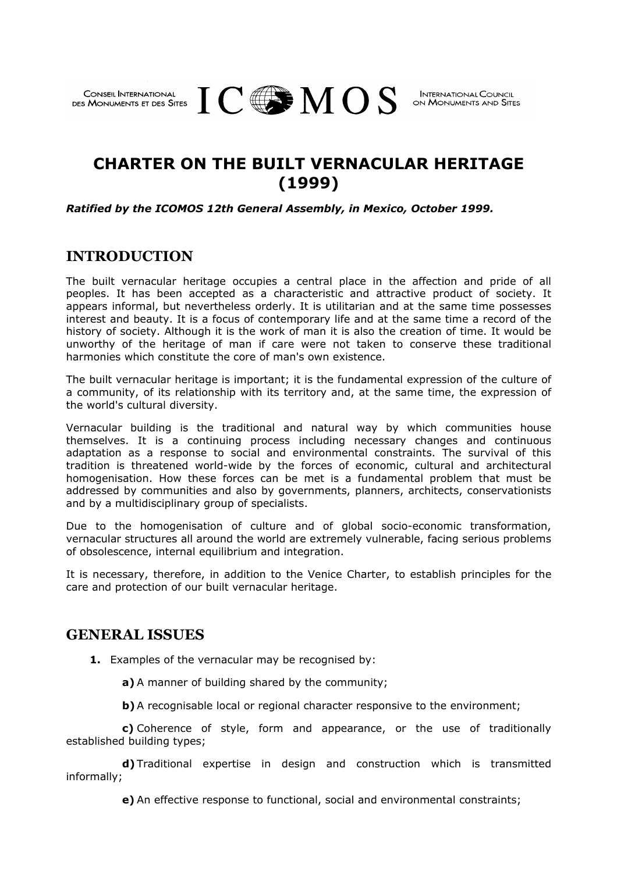# **CHARTER ON THE BUILT VERNACULAR HERITAGE (1999)**

*Ratified by the ICOMOS 12th General Assembly, in Mexico, October 1999.* 

DES MONUMENTS ET DES SITES  $\rm I\,C$  and  $\rm M\,OS$ 

# **INTRODUCTION**

The built vernacular heritage occupies a central place in the affection and pride of all peoples. It has been accepted as a characteristic and attractive product of society. It appears informal, but nevertheless orderly. It is utilitarian and at the same time possesses interest and beauty. It is a focus of contemporary life and at the same time a record of the history of society. Although it is the work of man it is also the creation of time. It would be unworthy of the heritage of man if care were not taken to conserve these traditional harmonies which constitute the core of man's own existence.

The built vernacular heritage is important; it is the fundamental expression of the culture of a community, of its relationship with its territory and, at the same time, the expression of the world's cultural diversity.

Vernacular building is the traditional and natural way by which communities house themselves. It is a continuing process including necessary changes and continuous adaptation as a response to social and environmental constraints. The survival of this tradition is threatened world-wide by the forces of economic, cultural and architectural homogenisation. How these forces can be met is a fundamental problem that must be addressed by communities and also by governments, planners, architects, conservationists and by a multidisciplinary group of specialists.

Due to the homogenisation of culture and of global socio-economic transformation, vernacular structures all around the world are extremely vulnerable, facing serious problems of obsolescence, internal equilibrium and integration.

It is necessary, therefore, in addition to the Venice Charter, to establish principles for the care and protection of our built vernacular heritage.

# **GENERAL ISSUES**

- **1.** Examples of the vernacular may be recognised by:
	- **a)** A manner of building shared by the community;
	- **b)** A recognisable local or regional character responsive to the environment;

**c)** Coherence of style, form and appearance, or the use of traditionally established building types;

**d)** Traditional expertise in design and construction which is transmitted informally;

**e)** An effective response to functional, social and environmental constraints;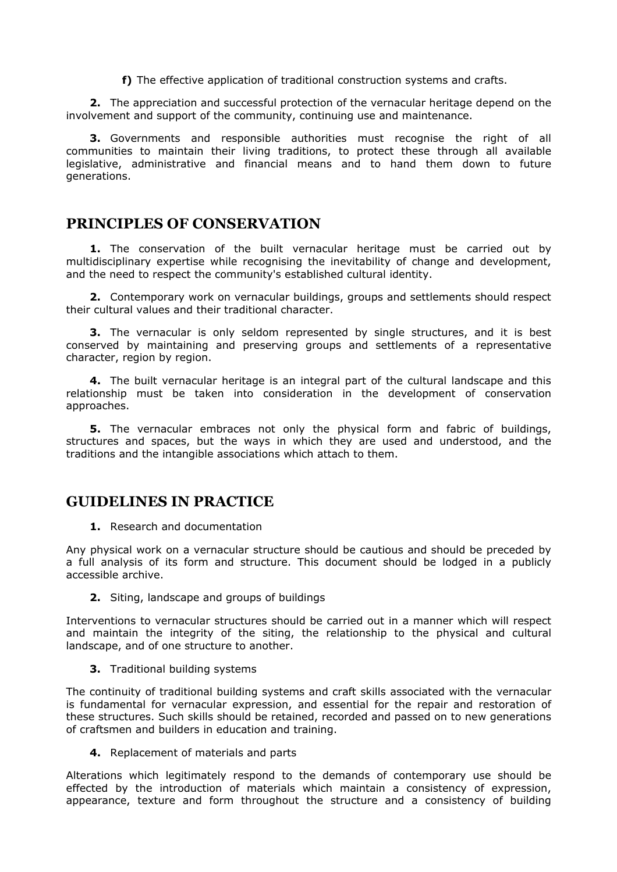**f)** The effective application of traditional construction systems and crafts.

**2.** The appreciation and successful protection of the vernacular heritage depend on the involvement and support of the community, continuing use and maintenance.

**3.** Governments and responsible authorities must recognise the right of all communities to maintain their living traditions, to protect these through all available legislative, administrative and financial means and to hand them down to future generations.

# **PRINCIPLES OF CONSERVATION**

**1.** The conservation of the built vernacular heritage must be carried out by multidisciplinary expertise while recognising the inevitability of change and development, and the need to respect the community's established cultural identity.

**2.** Contemporary work on vernacular buildings, groups and settlements should respect their cultural values and their traditional character.

**3.** The vernacular is only seldom represented by single structures, and it is best conserved by maintaining and preserving groups and settlements of a representative character, region by region.

**4.** The built vernacular heritage is an integral part of the cultural landscape and this relationship must be taken into consideration in the development of conservation approaches.

**5.** The vernacular embraces not only the physical form and fabric of buildings, structures and spaces, but the ways in which they are used and understood, and the traditions and the intangible associations which attach to them.

# **GUIDELINES IN PRACTICE**

**1.** Research and documentation

Any physical work on a vernacular structure should be cautious and should be preceded by a full analysis of its form and structure. This document should be lodged in a publicly accessible archive.

**2.** Siting, landscape and groups of buildings

Interventions to vernacular structures should be carried out in a manner which will respect and maintain the integrity of the siting, the relationship to the physical and cultural landscape, and of one structure to another.

**3.** Traditional building systems

The continuity of traditional building systems and craft skills associated with the vernacular is fundamental for vernacular expression, and essential for the repair and restoration of these structures. Such skills should be retained, recorded and passed on to new generations of craftsmen and builders in education and training.

**4.** Replacement of materials and parts

Alterations which legitimately respond to the demands of contemporary use should be effected by the introduction of materials which maintain a consistency of expression, appearance, texture and form throughout the structure and a consistency of building